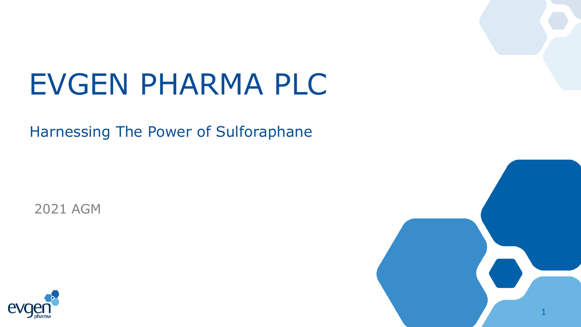# EVGEN PHARMA PLC

Harnessing The Power of Sulforaphane

2021 AGM



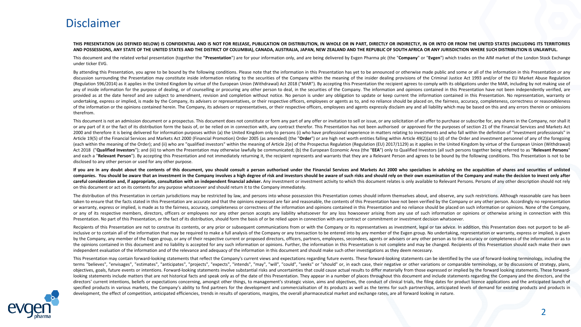### Disclaimer

#### THIS PRESENTATION (AS DEFINED BELOW) IS CONFIDENTIAL AND IS NOT FOR RELEASE, PUBLICATION OR DISTRIBUTION, IN WHOLE OR IN PART, DIRECTLY OR INDIRECTLY, IN OR INTO OR FROM THE UNITED STATES (INCLUDING ITS TERRITORIES AND POSSESSIONS. ANY STATE OF THE UNITED STATES AND THE DISTRICT OF COLUMBIA). CANADA. AUSTRALIA. JAPAN. NEW ZEALAND AND THE REPUBLIC OF SOUTH AFRICA OR ANY JURISDICTION WHERE SUCH DISTRIBUTION IS UNLAWFUL.

This document and the related verbal presentation (together the "Presentation") are for your information only, and are being delivered by Evgen Pharma plc (the "Company" or "Evgen") which trades on the AIM market of the Lo under ticker EVG.

By attending this Presentation, you agree to be bound by the following conditions. Please note that the information in this Presentation has yet to be announced or otherwise made public and some or all of the information i discussion surrounding the Presentation may constitute inside information relating to the securities of the Company within the meaning of the insider dealing provisions of the Criminal Justice Act 1993 and/or of the EU Mar (Regulation 596/2014) as it applies in the United Kingdom by virtue of the European Union (Withdrawal) Act 2018 ("MAR"). By accepting this Presentation the recipient agrees to comply with its obligations under the MAR, inc any of inside information for the purpose of dealing, or of counselling or procuring any other person to deal, in the securities of the Company. The information and opinions contained in this Presentation have not been ind provided as at the date hereof and are subject to amendment, revision and completion without notice. No person is under any obligation to update or keep current the information contained in this Presentation. No representa undertaking, express or implied, is made by the Company, its advisers or representatives, or their respective officers, employees or agents as to, and no reliance should be placed on, the fairness, accuracy, completeness, of the information or the opinions contained herein. The Company, its advisers or representatives, or their respective officers, employees and agents expressly disclaim any and all liability which may be based on this and therefrom.

This document is not an admission document or a prospectus. This document does not constitute or form any part of any offer or invitation to sell or issue, or any solicitation of an offer to purchase or subscribe for, any or any part of it or the fact of its distribution form the basis of, or be relied on in connection with, any contract therefor. This Presentation has not been authorised or approved for the purposes of section 21 of the Fi 2000 and therefore it is being delivered for information purposes within (a) the United Kingdom only to persons (i) who have professional experience in matters relating to investments and who fall within the definition of Article 19(5) of the Financial Services and Markets Act 2000 (Financial Promotion) Order 2005 (as amended) (the "Order") or are high net worth entities falling within Article 49(2)(a) to (d) of the Order and investment per (each within the meaning of the Order); and (ii) who are "qualified investors" within the meaning of Article 2(e) of the Prospectus Regulation (Regulation (Regulation (EU) 2017/1129) as it applies in the United Kingdom by Act 2018 ("Qualified Investors"); and (iii) to whom the Presentation may otherwise lawfully be communicated; (b) the European Economic Area (the "EEA") only to Qualified Investors (all such persons together being referred and each a "Relevant Person"). By accepting this Presentation and not immediately returning it, the recipient represents and warrants that they are a Relevant Person and agrees to be bound by the following conditions. This disclosed to any other person or used for any other purpose.

If you are in any doubt about the contents of this document, you should consult a person authorised under the Financial Services and Markets Act 2000 who specialises in advising on the acquisition of shares and securities companies. You should be aware that an investment in the Company involves a high degree of risk and investors should be aware of such risks and should rely on their own examination of the Company and make the decision to i careful consideration and, if appropriate, consultation with an independent financial adviser. Any investment or investment activity to which this document relates is only available to Relevant Persons. Persons of any othe on this document or act on its contents for any purpose whatsoever and should return it to the Company immediately.

The distribution of this Presentation in certain iurisdictions may be restricted by law, and persons into whose possession this Presentation comes should inform themselves about, and observe, any such restrictions. Althoug taken to ensure that the facts stated in this Presentation are accurate and that the opinions expressed are fair and reasonable, the contents of this Presentation have not been verified by the Company or any other person. or warranty, express or implied, is made as to the fairness, accuracy, completeness or correctness of the information and opinions contained in this Presentation and no reliance should be placed on such information or opin or any of its respective members, directors, officers or employees nor any other person accepts any liability whatsoever for any loss howsoever arising from any use of such information or opinions or otherwise arising in c Presentation. No part of this Presentation, or the fact of its distribution, should form the basis of or be relied upon in connection with any contract or commitment or investment decision whatsoever.

Recipients of this Presentation are not to construe its contents, or any prior or subsequent communications from or with the Company or its representatives as investment, legal or tax advice. In addition, this Presentation inclusive or to contain all of the information that may be required to make a full analysis of the Company or any transaction to be entered into by any member of the Evgen group. No undertaking, representation or warranty, by the Company, any member of the Evgen group, or any of their respective current or proposed directors, officers, partners, employees, secondees, agents or advisers or any other person as to the accuracy or completeness o the opinions contained in this document and no liability is accepted for any such information or opinions. Further, the information in this Presentation is not complete and may be changed. Recipients of this Presentation s independent evaluation of the information and of the relevance and adequacy of the information in this document and should make such other investigations as they deem necessary.

This Presentation may contain forward-looking statements that reflect the Company's current views and expectations regarding future events. These forward-looking statements can be identified by the use of forward-looking t terms "believes", "envisages", "estimates", "anticipates", "projects", "expects", "intends", "may", "will", "could", "seeks" or "should" or, in each case, their negative or other variations or comparable terminology, or by objectives, goals, future events or intentions. Forward-looking statements involve substantial risks and uncertainties that could cause actual results to differ materially from those expressed or implied by the forward loo looking statements include matters that are not historical facts and speak only as of the date of this Presentation. They appear in a number of places throughout this document and include statements regarding the Company a directors' current intentions, beliefs or expectations concerning, amongst other things, to management's strategic vision, aims and objectives, the conduct of clinical trials, the filing dates for product licence applicati specified products in various markets, the Company's ability to find partners for the development and commercialisation of its products as well as the terms for such partnerships, anticipated levels of demand for existing development, the effect of competition, anticipated efficiencies, trends in results of operations, margins, the overall pharmaceutical market and exchange rates, are all forward looking in nature.

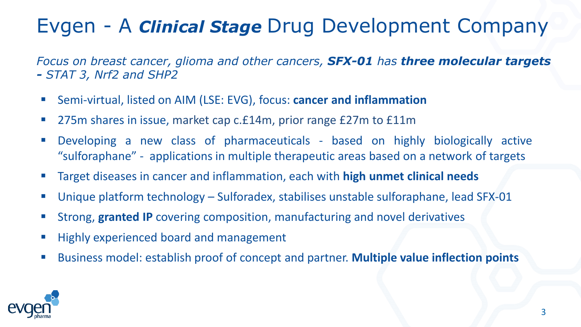### Evgen - A *Clinical Stage* Drug Development Company

*Focus on breast cancer, glioma and other cancers, SFX-01 has three molecular targets - STAT 3, Nrf2 and SHP2*

- Semi-virtual, listed on AIM (LSE: EVG), focus: **cancer and inflammation**
- 275m shares in issue, market cap c.£14m, prior range £27m to £11m
- Developing a new class of pharmaceuticals based on highly biologically active "sulforaphane" - applications in multiple therapeutic areas based on a network of targets
- Target diseases in cancer and inflammation, each with **high unmet clinical needs**
- Unique platform technology Sulforadex, stabilises unstable sulforaphane, lead SFX-01
- Strong, **granted IP** covering composition, manufacturing and novel derivatives
- Highly experienced board and management
- Business model: establish proof of concept and partner. **Multiple value inflection points**

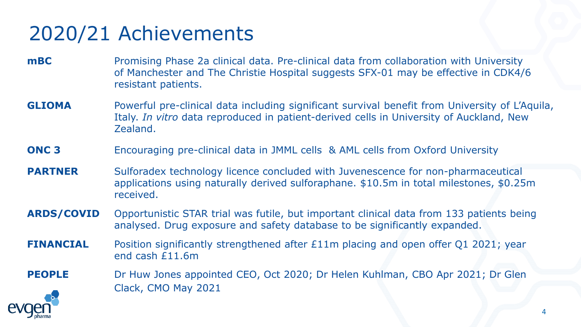## 2020/21 Achievements

- **mBC** Promising Phase 2a clinical data. Pre-clinical data from collaboration with University of Manchester and The Christie Hospital suggests SFX-01 may be effective in CDK4/6 resistant patients.
- **GLIOMA** Powerful pre-clinical data including significant survival benefit from University of L'Aquila, Italy. *In vitro* data reproduced in patient-derived cells in University of Auckland, New Zealand.
- **ONC 3** Encouraging pre-clinical data in JMML cells & AML cells from Oxford University
- **PARTNER** Sulforadex technology licence concluded with Juvenescence for non-pharmaceutical applications using naturally derived sulforaphane. \$10.5m in total milestones, \$0.25m received.
- **ARDS/COVID** Opportunistic STAR trial was futile, but important clinical data from 133 patients being analysed. Drug exposure and safety database to be significantly expanded.
- **FINANCIAL** Position significantly strengthened after £11m placing and open offer Q1 2021; year end cash £11.6m
- **PEOPLE** Dr Huw Jones appointed CEO, Oct 2020; Dr Helen Kuhlman, CBO Apr 2021; Dr Glen Clack, CMO May 2021

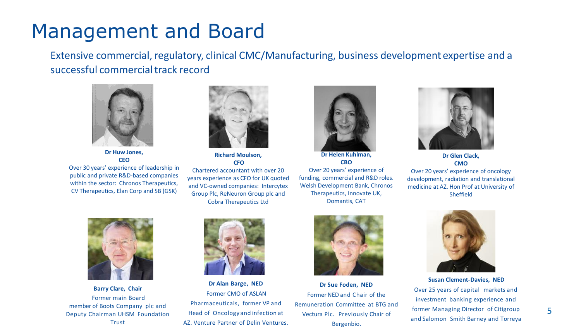### Management and Board

Extensive commercial, regulatory, clinical CMC/Manufacturing, business development expertise and a successful commercial track record



**Dr Huw Jones, CEO**

Over 30 years' experience of leadership in public and private R&D-based companies within the sector: Chronos Therapeutics, CV Therapeutics, Elan Corp and SB (GSK)



**Richard Moulson, CFO** Chartered accountant with over 20 years experience as CFO for UK quoted and VC-owned companies: Intercytex Group Plc, ReNeuron Group plc and Cobra Therapeutics Ltd



**Dr Helen Kuhlman, CBO** Over 20 years' experience of funding, commercial and R&D roles. Welsh Development Bank, Chronos Therapeutics, Innovate UK, Domantis, CAT



**Dr Glen Clack, CMO** Over 20 years' experience of oncology development, radiation and translational medicine at AZ. Hon Prof at University of Sheffield



**Barry Clare, Chair**  Former main Board member of Boots Company plc and Deputy Chairman UHSM Foundation **Trust** 



**Dr Alan Barge, NED** Former CMO of ASLAN Pharmaceuticals, former VP and Head of Oncology and infection at AZ. Venture Partner of Delin Ventures.



**Dr Sue Foden, NED** Former NED and Chair of the Remuneration Committee at BTG and Vectura Plc. Previously Chair of Bergenbio.



**Susan Clement-Davies, NED** Over 25 years of capital markets and investment banking experience and former Managing Director of Citigroup and Salomon Smith Barney and Torreya

5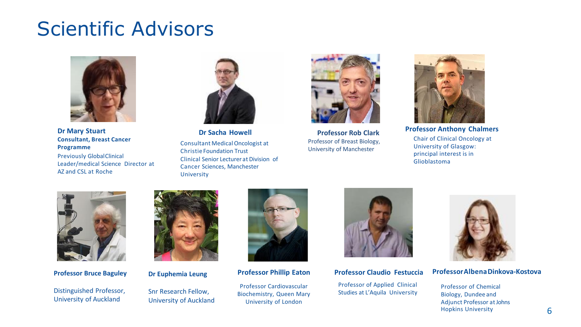### Scientific Advisors



**Dr Mary Stuart Dr Sacha Howell Professor Anthony Chalmers Consultant, Breast Cancer Programme** Previously GlobalClinical Leader/medical Science Director at AZ and CSL at Roche



Consultant MedicalOncologist at Christie Foundation Trust Clinical Senior Lecturerat Division of Cancer Sciences, Manchester University



**Professor Rob Clark** Professor of Breast Biology, University of Manchester



Chair of Clinical Oncology at University of Glasgow: principal interest is in Glioblastoma



**Professor Bruce Baguley**

Distinguished Professor, University of Auckland



**Dr Euphemia Leung**

Snr Research Fellow, University of Auckland



**Professor Phillip Eaton**

Professor Cardiovascular Biochemistry, Queen Mary University of London



#### **Professor Claudio Festuccia**

Professor of Applied Clinical Studies at L'Aquila University



#### **ProfessorAlbenaDinkova-Kostova**

Professor of Chemical Biology, Dundee and Adjunct Professor atJohns Hopkins University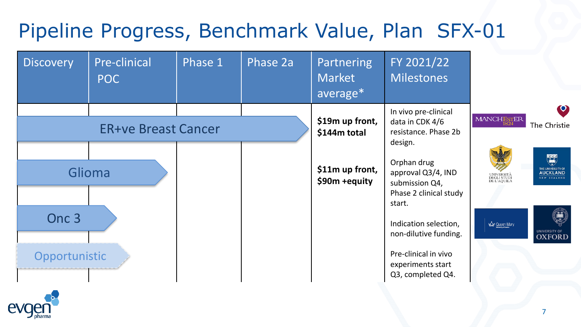## Pipeline Progress, Benchmark Value, Plan SFX-01



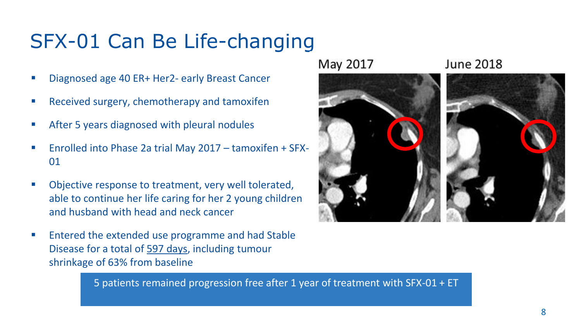## SFX-01 Can Be Life-changing

- Diagnosed age 40 ER+ Her2- early Breast Cancer
- Received surgery, chemotherapy and tamoxifen
- After 5 years diagnosed with pleural nodules
- Enrolled into Phase 2a trial May 2017 tamoxifen + SFX-01
- Objective response to treatment, very well tolerated, able to continue her life caring for her 2 young children and husband with head and neck cancer
- Entered the extended use programme and had Stable Disease for a total of 597 days, including tumour shrinkage of 63% from baseline

5 patients remained progression free after 1 year of treatment with SFX-01 + ET



May 2017

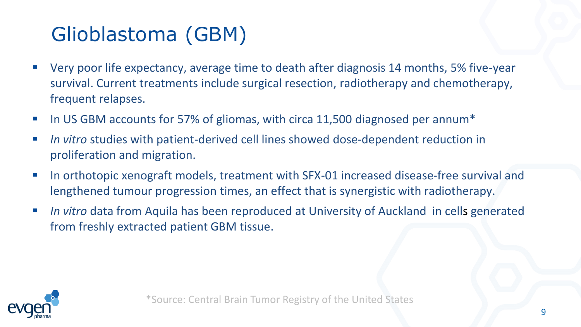## Glioblastoma (GBM)

- Very poor life expectancy, average time to death after diagnosis 14 months, 5% five-year survival. Current treatments include surgical resection, radiotherapy and chemotherapy, frequent relapses.
- In US GBM accounts for 57% of gliomas, with circa 11,500 diagnosed per annum<sup>\*</sup>
- *In vitro* studies with patient-derived cell lines showed dose-dependent reduction in proliferation and migration.
- In orthotopic xenograft models, treatment with SFX-01 increased disease-free survival and lengthened tumour progression times, an effect that is synergistic with radiotherapy.
- *In vitro* data from Aquila has been reproduced at University of Auckland in cells generated from freshly extracted patient GBM tissue.

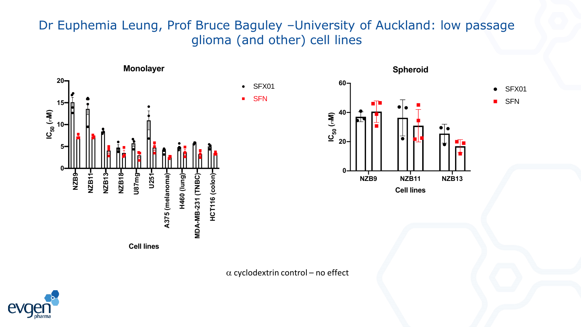### Dr Euphemia Leung, Prof Bruce Baguley –University of Auckland: low passage glioma (and other) cell lines



 $\alpha$  cyclodextrin control – no effect

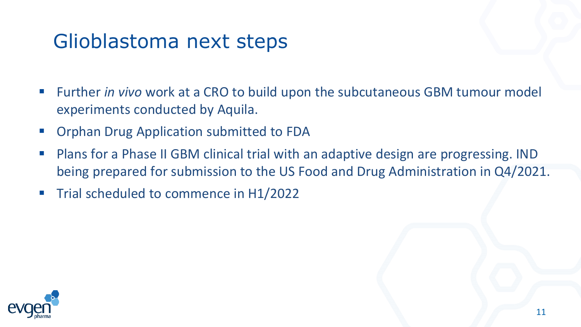### Glioblastoma next steps

- Further *in vivo* work at a CRO to build upon the subcutaneous GBM tumour model experiments conducted by Aquila.
- Orphan Drug Application submitted to FDA
- Plans for a Phase II GBM clinical trial with an adaptive design are progressing. IND being prepared for submission to the US Food and Drug Administration in Q4/2021.
- Trial scheduled to commence in H1/2022

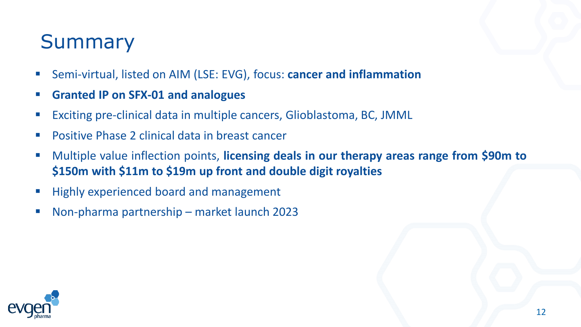### Summary

- Semi-virtual, listed on AIM (LSE: EVG), focus: **cancer and inflammation**
- **Granted IP on SFX-01 and analogues**
- Exciting pre-clinical data in multiple cancers, Glioblastoma, BC, JMML
- Positive Phase 2 clinical data in breast cancer
- Multiple value inflection points, **licensing deals in our therapy areas range from \$90m to \$150m with \$11m to \$19m up front and double digit royalties**
- Highly experienced board and management
- Non-pharma partnership market launch 2023